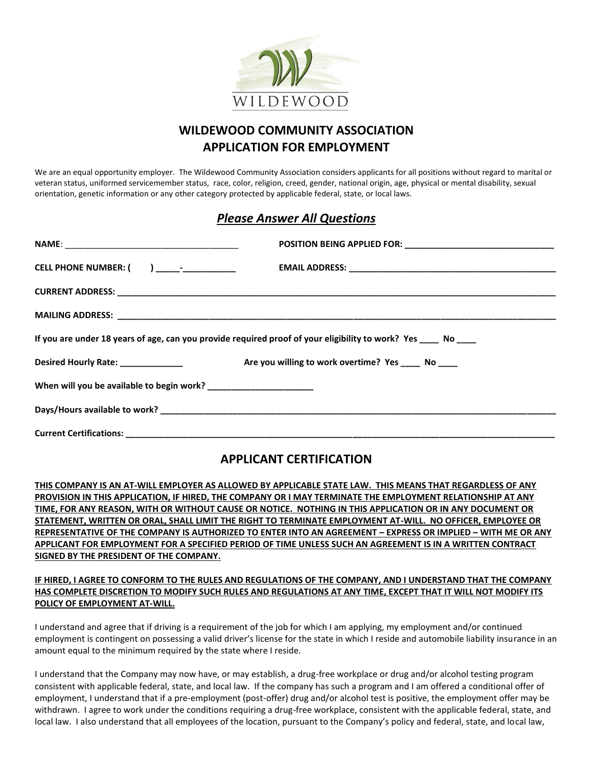

## **WILDEWOOD COMMUNITY ASSOCIATION APPLICATION FOR EMPLOYMENT**

We are an equal opportunity employer. The Wildewood Community Association considers applicants for all positions without regard to marital or veteran status, uniformed servicemember status, race, color, religion, creed, gender, national origin, age, physical or mental disability, sexual orientation, genetic information or any other category protected by applicable federal, state, or local laws.

## *Please Answer All Questions*

| If you are under 18 years of age, can you provide required proof of your eligibility to work? Yes ____ No ____ |  |
|----------------------------------------------------------------------------------------------------------------|--|
| Desired Hourly Rate: No Contract Are you willing to work overtime? Yes No No No                                |  |
| When will you be available to begin work? _______________________                                              |  |
|                                                                                                                |  |
|                                                                                                                |  |

## **APPLICANT CERTIFICATION**

**THIS COMPANY IS AN AT-WILL EMPLOYER AS ALLOWED BY APPLICABLE STATE LAW. THIS MEANS THAT REGARDLESS OF ANY PROVISION IN THIS APPLICATION, IF HIRED, THE COMPANY OR I MAY TERMINATE THE EMPLOYMENT RELATIONSHIP AT ANY TIME, FOR ANY REASON, WITH OR WITHOUT CAUSE OR NOTICE. NOTHING IN THIS APPLICATION OR IN ANY DOCUMENT OR STATEMENT, WRITTEN OR ORAL, SHALL LIMIT THE RIGHT TO TERMINATE EMPLOYMENT AT-WILL. NO OFFICER, EMPLOYEE OR REPRESENTATIVE OF THE COMPANY IS AUTHORIZED TO ENTER INTO AN AGREEMENT – EXPRESS OR IMPLIED – WITH ME OR ANY APPLICANT FOR EMPLOYMENT FOR A SPECIFIED PERIOD OF TIME UNLESS SUCH AN AGREEMENT IS IN A WRITTEN CONTRACT SIGNED BY THE PRESIDENT OF THE COMPANY.**

## **IF HIRED, I AGREE TO CONFORM TO THE RULES AND REGULATIONS OF THE COMPANY, AND I UNDERSTAND THAT THE COMPANY HAS COMPLETE DISCRETION TO MODIFY SUCH RULES AND REGULATIONS AT ANY TIME, EXCEPT THAT IT WILL NOT MODIFY ITS POLICY OF EMPLOYMENT AT-WILL.**

I understand and agree that if driving is a requirement of the job for which I am applying, my employment and/or continued employment is contingent on possessing a valid driver's license for the state in which I reside and automobile liability insurance in an amount equal to the minimum required by the state where I reside.

I understand that the Company may now have, or may establish, a drug-free workplace or drug and/or alcohol testing program consistent with applicable federal, state, and local law. If the company has such a program and I am offered a conditional offer of employment, I understand that if a pre-employment (post-offer) drug and/or alcohol test is positive, the employment offer may be withdrawn. I agree to work under the conditions requiring a drug-free workplace, consistent with the applicable federal, state, and local law. I also understand that all employees of the location, pursuant to the Company's policy and federal, state, and local law,